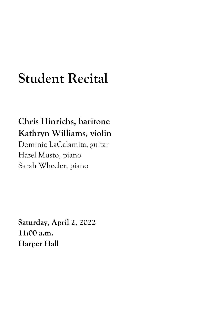## **Student Recital**

## **Chris Hinrichs, baritone Kathryn Williams, violin**

Dominic LaCalamita, guitar Hazel Musto, piano Sarah Wheeler, piano

**Saturday, April 2, 2022 11:00 a.m. Harper Hall**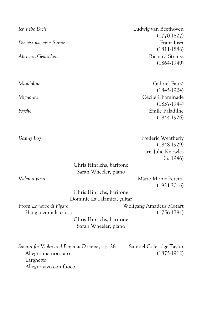| Ich liebe Dich                                   | Ludwig van Beethoven<br>$(1770-1827)$ |
|--------------------------------------------------|---------------------------------------|
| Du bist wie eine Blume                           | Franz Liszt                           |
|                                                  | $(1811-1886)$                         |
| All mein Gedanken                                | <b>Richard Strauss</b>                |
|                                                  | $(1864-1949)$                         |
|                                                  |                                       |
| Mandoline                                        | Gabriel Fauré                         |
|                                                  | $(1845-1924)$                         |
| Mignonne                                         | Cécile Chaminade                      |
|                                                  | $(1857-1944)$                         |
| Psyché                                           | Émile Paladilhe                       |
|                                                  | $(1844-1926)$                         |
|                                                  |                                       |
| Danny Boy                                        | Frederic Weatherly                    |
|                                                  | $(1848-1929)$                         |
|                                                  | arr. Julie Knowles                    |
|                                                  | (b. 1946)                             |
|                                                  | Chris Hinrichs, baritone              |
|                                                  | Sarah Wheeler, piano                  |
| Valeu a pena                                     | Mário Moniz Pereira                   |
|                                                  | $(1921-2016)$                         |
|                                                  | Chris Hinrichs, baritone              |
|                                                  | Dominic LaCalamita, guitar            |
| From Le nozze di Figaro                          | Wolfgang Amadeus Mozart               |
| Hai gia vinta la causa                           | $(1756-1791)$                         |
| Chris Hinrichs, baritone<br>Sarah Wheeler, piano |                                       |
|                                                  |                                       |
| Sonata for Violin and Piano in D minor, op. 28   | Samuel Coleridge-Taylor               |
| Allegro ma non tato                              | $(1875-1912)$                         |
| Larghetto                                        |                                       |
| Allegro vivo con fuoco                           |                                       |